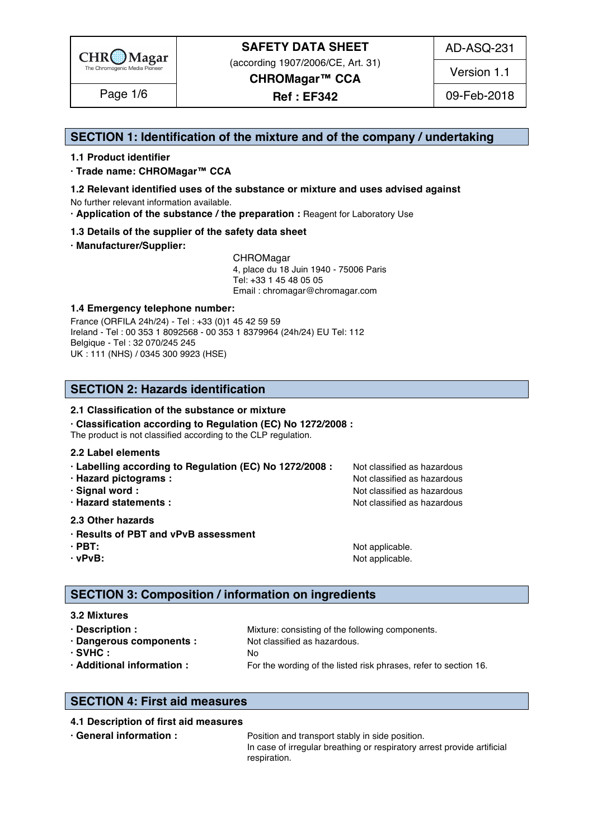

(according 1907/2006/CE, Art. 31)

AD-ASQ-231

**CHROMagar™ CCA Ref : EF342** Page 1/6 09-Feb-2018

Version 1.1

### **SECTION 1: Identification of the mixture and of the company / undertaking** 1

#### **1.1 Product identifier** 2

**· Trade name: CHROMagar™ CCA** 3

- **1.2 Relevant identified uses of the substance or mixture and uses advised against** 4 No further relevant information available. 5
- **· Application of the substance / the preparation :** Reagent for Laboratory Use 6

#### **1.3 Details of the supplier of the safety data sheet** 7

**· Manufacturer/Supplier:** 8

CHROMagar 9 4, place du 18 Juin 1940 - 75006 Paris 10 Tel: +33 1 45 48 05 05 11 11 12 11 12 11 12 11 12 11 12 11 12 11 12 11 12 11 12 1 Email : chromagar@chromagar.com 12

#### **1.4 Emergency telephone number:**  $\blacksquare$  **1.4 Emergency telephone number:**

France (ORFILA 24h/24) - Tel: +33 (0)1 45 42 59 59 Ireland - Tel: 00 353 1 8092568 - 00 353 1 8379964 (24h/24) EU Tel: 112 Belgique - Tel : 32 070/245 245 16 UK : 111 (NHS) / 0345 300 9923 (HSE) 17

### **SECTION 2: Hazards identification** 20

#### **2.1 Classification of the substance or mixture**

**· Classification according to Regulation (EC) No 1272/2008 :** 22

The product is not classified according to the CLP regulation.

#### **2.2 Label elements** 24

- **· Labelling according to Regulation (EC) No 1272/2008 : Not classified as hazardous**
- 
- 
- 

#### **2.3 Other hazards** 29

- **· Results of PBT and vPvB assessment** 30
- 
- 

**· Hazard pictograms :** Not classified as hazardous 26 and 26 and 26 and 26 and 26 and 26 and 26 and 26 and 26 and 26 and 26 and 26 and 26 and 26 and 26 and 26 and 26 and 26 and 26 and 26 and 26 and 26 and 26 and 26 and 26 **· Signal word :** Not classified as hazardous 27 and 27 and 27 and 27 and 27 and 27 and 27 and 27 and 27 and 27 and 27 and 27 and 27 and 27 and 27 and 27 and 27 and 27 and 27 and 27 and 27 and 27 and 27 and 27 and 27 and 2 **· Hazard statements :** Not classified as hazardous 28 and 28 and 28 and 28 and 28 and 28 and 28 and 28 and 28 and 28 and 28 and 28 and 28 and 28 and 28 and 28 and 28 and 28 and 28 and 28 and 28 and 28 and 28 and 28 and 28

**· PBT:**  $\blacksquare$  **PBT:**  $\blacksquare$  **PBT:**  $\blacksquare$  **Not applicable.**  $\blacksquare$   $\blacksquare$   $\blacksquare$   $\blacksquare$   $\blacksquare$   $\blacksquare$   $\blacksquare$   $\blacksquare$   $\blacksquare$   $\blacksquare$   $\blacksquare$   $\blacksquare$   $\blacksquare$   $\blacksquare$   $\blacksquare$   $\blacksquare$   $\blacksquare$   $\blacksquare$   $\blacksquare$   $\blacksquare$   $\blacksquare$   $\blacksquare$   $\blacksquare$ **· vPvB:**  $\bullet$  **·**  $\bullet$  **122 ·**  $\bullet$  **122 ·**  $\bullet$  **·**  $\bullet$  **·**  $\bullet$  **·**  $\bullet$  **·**  $\bullet$  **·**  $\bullet$  **·**  $\bullet$  **·**  $\bullet$  **·**  $\bullet$  **·**  $\bullet$  **·**  $\bullet$  **·**  $\bullet$  **·**  $\bullet$  **·**  $\bullet$  **·**  $\bullet$  **·**  $\bullet$  **·**  $\bullet$  **·**  $\bullet$  **·**  $\bullet$  **·**  $\$ 

### **SECTION 3: Composition / information on ingredients**

#### **3.2 Mixtures** 36

**· Description : 1988** Mixture: consisting of the following components. **· Dangerous components :** Not classified as hazardous. 388 and 288 and 288 and 288 and 288 and 288 and 288 and 288 and 288 and 288 and 288 and 288 and 288 and 288 and 288 and 288 and 288 and 288 and 288 and 288 and 288 an **· SVHC :** No 39 **· Additional information :** For the wording of the listed risk phrases, refer to section 16. 40

### **SECTION 4: First aid measures** 43

#### **4.1 Description of first aid measures** 44

**• General information : Position and transport stably in side position.** 455 and the position of the position of the position of the position of the position of the position of the position of the position of the positi In case of irregular breathing or respiratory arrest provide artificial respiration. And the set of the set of the set of the set of the set of the set of the set of the set of the set of the set of the set of the set of the set of the set of the set of the set of the set of the set of the set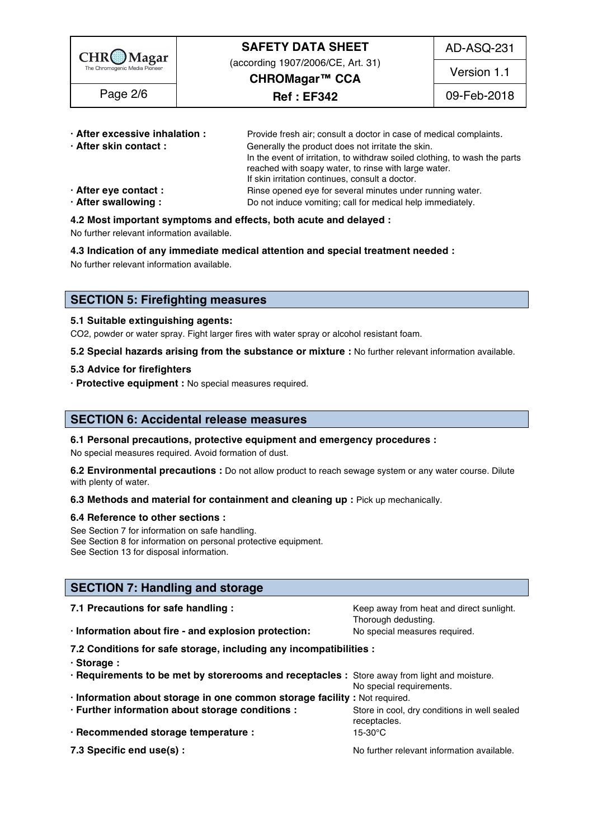| $CHR$ $Magar$<br>The Chromogenic Media Pioneer<br>Page 2/6 | <b>SAFETY DATA SHEET</b>                            | AD-ASQ-231  |
|------------------------------------------------------------|-----------------------------------------------------|-------------|
|                                                            | (according 1907/2006/CE, Art. 31)<br>CHROMagar™ CCA | Version 1.1 |
|                                                            | <b>Ref: EF342</b>                                   | 09-Feb-2018 |
|                                                            |                                                     |             |

| · After excessive inhalation : | Provide fresh air; consult a doctor in case of medical complaints.         |  |
|--------------------------------|----------------------------------------------------------------------------|--|
| · After skin contact:          | Generally the product does not irritate the skin.                          |  |
|                                | In the event of irritation, to withdraw soiled clothing, to wash the parts |  |
|                                | reached with soapy water, to rinse with large water.                       |  |
|                                | If skin irritation continues, consult a doctor.                            |  |
| · After eye contact :          | Rinse opened eye for several minutes under running water.                  |  |
| · After swallowing:            | Do not induce vomiting; call for medical help immediately.                 |  |

#### **4.2 Most important symptoms and effects, both acute and delayed :** 55

No further relevant information available. 56

#### **4.3 Indication of any immediate medical attention and special treatment needed :** 57

No further relevant information available. Superstanding the state of the state of the state of the state of the state of the state of the state of the state of the state of the state of the state of the state of the state

### **SECTION 5: Firefighting measures**

#### **5.1 Suitable extinguishing agents:** 62

CO2, powder or water spray. Fight larger fires with water spray or alcohol resistant foam.

**5.2 Special hazards arising from the substance or mixture :** No further relevant information available. 64

#### **5.3 Advice for firefighters** 65

**· Protective equipment :** No special measures required. 66

#### **SECTION 6: Accidental release measures**

#### **6.1 Personal precautions, protective equipment and emergency procedures :** 70

No special measures required. Avoid formation of dust.

**6.2 Environmental precautions** : Do not allow product to reach sewage system or any water course. Dilute with plenty of water. The contract of the contract of the contract of the contract of the contract of the contract of the contract of the contract of the contract of the contract of the contract of the contract of the cont

#### **6.3 Methods and material for containment and cleaning up : Pick up mechanically.**

#### **6.4 Reference to other sections :** 75

See Section 7 for information on safe handling. See Section 8 for information on personal protective equipment.<br>See Section 13 for disposal information. See Section 13 for disposal information. The section of the section of the section of the section of the section of the section of the section of the section of the section of the section of the section of the section of t

#### **SECTION 7: Handling and storage**

| 7.1 Precautions for safe handling :                                                          | Keep away from heat and direct sunlight.<br>Thorough dedusting. |  |  |
|----------------------------------------------------------------------------------------------|-----------------------------------------------------------------|--|--|
| · Information about fire - and explosion protection:                                         | No special measures required.                                   |  |  |
| 7.2 Conditions for safe storage, including any incompatibilities :                           |                                                                 |  |  |
| · Storage:                                                                                   |                                                                 |  |  |
| · Requirements to be met by storerooms and receptacles : Store away from light and moisture. |                                                                 |  |  |
|                                                                                              | No special requirements.                                        |  |  |
| · Information about storage in one common storage facility : Not required.                   |                                                                 |  |  |
| · Further information about storage conditions :                                             | Store in cool, dry conditions in well sealed                    |  |  |
|                                                                                              | receptacles.                                                    |  |  |
| · Recommended storage temperature :                                                          | 15-30°C                                                         |  |  |
| 7.3 Specific end use(s) :                                                                    | No further relevant information available.                      |  |  |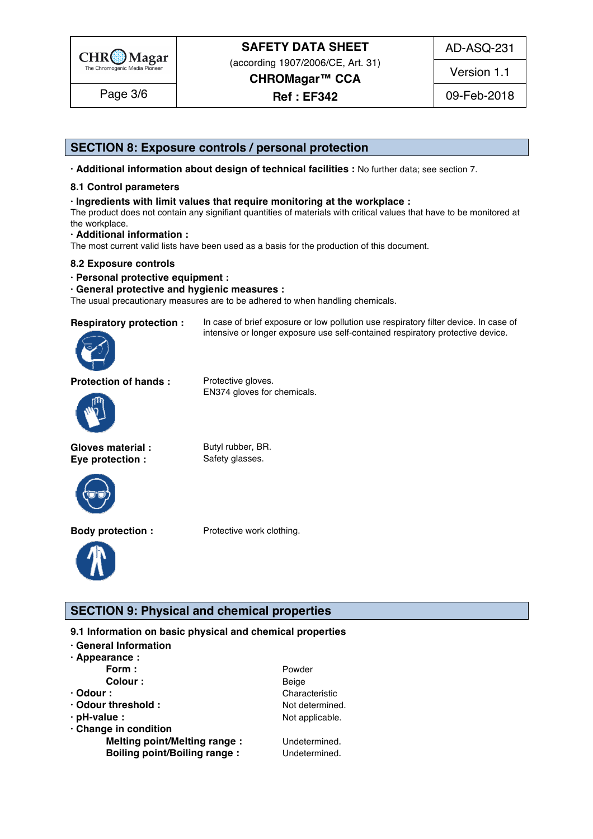

(according 1907/2006/CE, Art. 31)

AD-ASQ-231

Version 1.1

**CHROMagar™ CCA Ref : EF342**

Page 3/6 | Ref: EF342 | 09-Feb-2018

### **SECTION 8: Exposure controls / personal protection**

**· Additional information about design of technical facilities :** No further data; see section 7. 97

#### **8.1 Control parameters** 98

#### **· Ingredients with limit values that require monitoring at the workplace :** 99

The product does not contain any signifiant quantities of materials with critical values that have to be monitored at  $\hbox{the workplace.}$ 

#### **· Additional information :** 102

The most current valid lists have been used as a basis for the production of this document.

#### **8.2 Exposure controls** 104

**· Personal protective equipment :** 105

#### **· General protective and hygienic measures :** 106

The usual precautionary measures are to be adhered to when handling chemicals.



**Respiratory protection :** In case of brief exposure or low pollution use respiratory filter device. In case of intensive or longer exposure use self-contained respiratory protective device.

**Protection of hands :** Protective gloves.

EN374 gloves for chemicals.



**Gloves material :** Butyl rubber, BR. **Eye protection :** Safety glasses.



**Body protection :** Protective work clothing.



**SECTION 9: Physical and chemical properties** 

#### **9.1 Information on basic physical and chemical properties**

| · General Information               |                 |  |  |
|-------------------------------------|-----------------|--|--|
| $\cdot$ Appearance :                |                 |  |  |
| Form:                               | Powder          |  |  |
| Colour :                            | Beige           |  |  |
| $\cdot$ Odour :                     | Characteristic  |  |  |
| · Odour threshold :                 | Not determined. |  |  |
| · pH-value :                        | Not applicable. |  |  |
| · Change in condition               |                 |  |  |
| Melting point/Melting range :       | Undetermined.   |  |  |
| <b>Boiling point/Boiling range:</b> | Undetermined.   |  |  |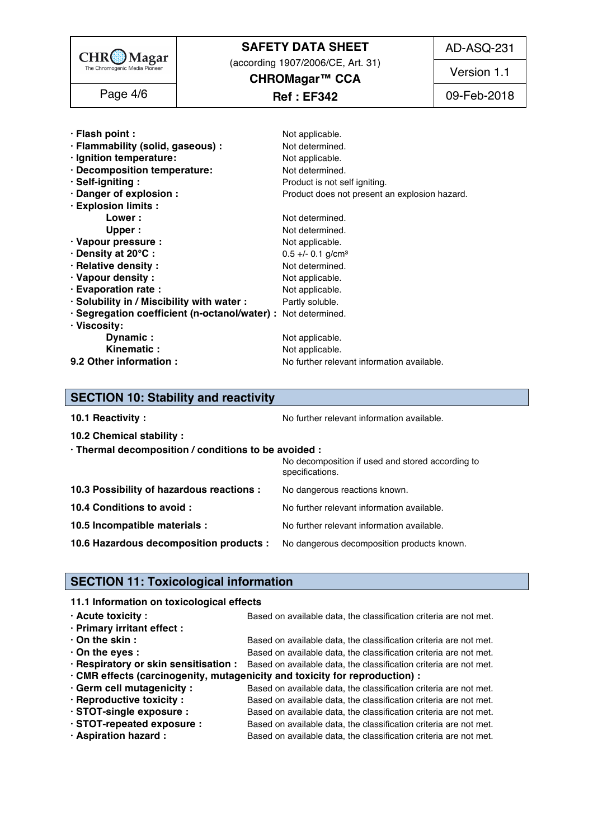

(according 1907/2006/CE, Art. 31) **CHROMagar™ CCA**

AD-ASQ-231

Version 1.1

**Ref : EF342** Page 4/6 09-Feb-2018

| · Flash point :                                               | Not applicable.                               |
|---------------------------------------------------------------|-----------------------------------------------|
| · Flammability (solid, gaseous) :                             | Not determined.                               |
| · Ignition temperature:                                       | Not applicable.                               |
| · Decomposition temperature:                                  | Not determined.                               |
| · Self-igniting:                                              | Product is not self igniting.                 |
| · Danger of explosion :                                       | Product does not present an explosion hazard. |
| · Explosion limits :                                          |                                               |
| Lower:                                                        | Not determined.                               |
| Upper:                                                        | Not determined.                               |
| · Vapour pressure :                                           | Not applicable.                               |
| · Density at 20°C :                                           | $0.5 +/- 0.1$ g/cm <sup>3</sup>               |
| · Relative density :                                          | Not determined.                               |
| · Vapour density:                                             | Not applicable.                               |
| · Evaporation rate :                                          | Not applicable.                               |
| · Solubility in / Miscibility with water :                    | Partly soluble.                               |
| · Segregation coefficient (n-octanol/water) : Not determined. |                                               |
| · Viscosity:                                                  |                                               |
| Dynamic:                                                      | Not applicable.                               |
| Kinematic:                                                    | Not applicable.                               |
| 9.2 Other information :                                       | No further relevant information available.    |

### **SECTION 10: Stability and reactivity**

| 10.1 Reactivity:                                                                   | No further relevant information available.                          |
|------------------------------------------------------------------------------------|---------------------------------------------------------------------|
| 10.2 Chemical stability :                                                          |                                                                     |
| · Thermal decomposition / conditions to be avoided :                               |                                                                     |
|                                                                                    | No decomposition if used and stored according to<br>specifications. |
|                                                                                    |                                                                     |
| 10.3 Possibility of hazardous reactions :                                          | No dangerous reactions known.                                       |
| 10.4 Conditions to avoid :                                                         | No further relevant information available.                          |
| 10.5 Incompatible materials :                                                      | No further relevant information available.                          |
| 10.6 Hazardous decomposition products : No dangerous decomposition products known. |                                                                     |
|                                                                                    |                                                                     |

### **SECTION 11: Toxicological information**

#### **11.1 Information on toxicological effects**

| $\cdot$ Acute toxicity :    | Based on available data, the classification criteria are not met.                                       |
|-----------------------------|---------------------------------------------------------------------------------------------------------|
| · Primary irritant effect : |                                                                                                         |
| $\cdot$ On the skin :       | Based on available data, the classification criteria are not met.                                       |
| $\cdot$ On the eyes :       | Based on available data, the classification criteria are not met.                                       |
|                             | · Respiratory or skin sensitisation : Based on available data, the classification criteria are not met. |
|                             | . CMR effects (carcinogenity, mutagenicity and toxicity for reproduction) :                             |
| · Germ cell mutagenicity :  | Based on available data, the classification criteria are not met.                                       |
| · Reproductive toxicity :   | Based on available data, the classification criteria are not met.                                       |
| · STOT-single exposure :    | Based on available data, the classification criteria are not met.                                       |
| · STOT-repeated exposure :  | Based on available data, the classification criteria are not met.                                       |
| · Aspiration hazard :       | Based on available data, the classification criteria are not met.                                       |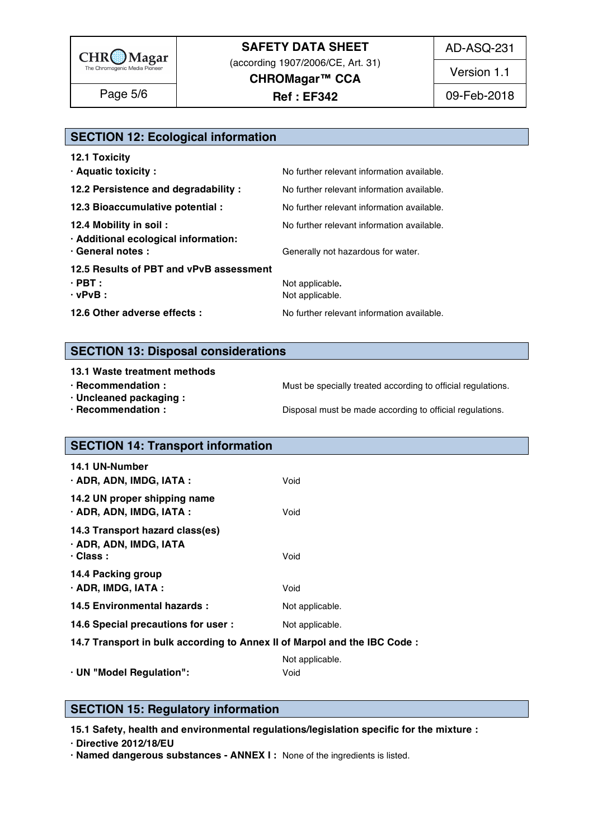

(according 1907/2006/CE, Art. 31) **CHROMagar™ CCA**

AD-ASQ-231

Version 1.1

**Ref : EF342** Page 5/6 09-Feb-2018

## **SECTION 12: Ecological information**

| <b>12.1 Toxicity</b>                                           |                                            |
|----------------------------------------------------------------|--------------------------------------------|
| · Aquatic toxicity :                                           | No further relevant information available. |
| 12.2 Persistence and degradability :                           | No further relevant information available. |
| 12.3 Bioaccumulative potential :                               | No further relevant information available. |
| 12.4 Mobility in soil:<br>· Additional ecological information: | No further relevant information available. |
| · General notes :                                              | Generally not hazardous for water.         |
| 12.5 Results of PBT and vPvB assessment                        |                                            |
| $\cdot$ PBT :<br>$\cdot$ vPvB :                                | Not applicable.<br>Not applicable.         |
| 12.6 Other adverse effects :                                   | No further relevant information available. |
|                                                                |                                            |

### **SECTION 13: Disposal considerations**

#### **13.1 Waste treatment methods in a straight straight straight straight straight straight straight straight straight straight straight straight straight straight straight straight straight straight straight straight straigh**

- 
- **· Uncleaned packaging :** 189
- 

**· Recommendation : Must be specially treated according to official regulations.** 

**· Recommendation : Disposal must be made according to official regulations.** 

# **SECTION 14: Transport information**

| <b>14.1 UN-Number</b><br>· ADR, ADN, IMDG, IATA :                            | Void            |
|------------------------------------------------------------------------------|-----------------|
| 14.2 UN proper shipping name<br>$\cdot$ ADR, ADN, IMDG, IATA :               | Void            |
| 14.3 Transport hazard class(es)<br>· ADR, ADN, IMDG, IATA<br>$\cdot$ Class : | Void            |
| 14.4 Packing group<br>$\cdot$ ADR, IMDG, IATA :                              | Void            |
| 14.5 Environmental hazards :                                                 | Not applicable. |
| 14.6 Special precautions for user :                                          | Not applicable. |
| 14.7 Transport in bulk according to Annex II of Marpol and the IBC Code:     |                 |

|                          | Not annlicable |  |  |
|--------------------------|----------------|--|--|
| · UN "Model Regulation": | v viu          |  |  |

### **SECTION 15: Regulatory information**

**15.1 Safety, health and environmental regulations/legislation specific for the mixture :** 211

**· Directive 2012/18/EU** 212

**· Named dangerous substances - ANNEX I :** None of the ingredients is listed. 213